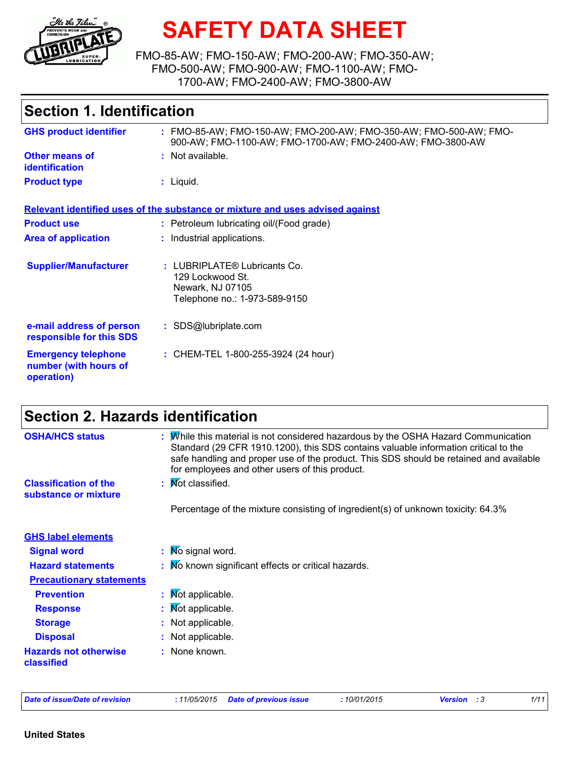

# **SAFETY DATA SHEET**

FMO-85-AW; FMO-150-AW; FMO-200-AW; FMO-350-AW; FMO-500-AW; FMO-900-AW; FMO-1100-AW; FMO-1700-AW; FMO-2400-AW; FMO-3800-AW

| <b>Section 1. Identification</b>                                  |                                                                                                                                 |  |  |  |  |
|-------------------------------------------------------------------|---------------------------------------------------------------------------------------------------------------------------------|--|--|--|--|
| <b>GHS product identifier</b>                                     | : FMO-85-AW; FMO-150-AW; FMO-200-AW; FMO-350-AW; FMO-500-AW; FMO-<br>900-AW; FMO-1100-AW; FMO-1700-AW; FMO-2400-AW; FMO-3800-AW |  |  |  |  |
| <b>Other means of</b><br><b>identification</b>                    | : Not available.                                                                                                                |  |  |  |  |
| <b>Product type</b>                                               | $:$ Liquid.                                                                                                                     |  |  |  |  |
|                                                                   | Relevant identified uses of the substance or mixture and uses advised against                                                   |  |  |  |  |
| <b>Product use</b>                                                | : Petroleum lubricating oil/(Food grade)                                                                                        |  |  |  |  |
| <b>Area of application</b>                                        | : Industrial applications.                                                                                                      |  |  |  |  |
| <b>Supplier/Manufacturer</b>                                      | : LUBRIPLATE® Lubricants Co.<br>129 Lockwood St.<br>Newark, NJ 07105<br>Telephone no.: 1-973-589-9150                           |  |  |  |  |
| e-mail address of person<br>responsible for this SDS              | : SDS@lubriplate.com                                                                                                            |  |  |  |  |
| <b>Emergency telephone</b><br>number (with hours of<br>operation) | : CHEM-TEL 1-800-255-3924 (24 hour)                                                                                             |  |  |  |  |

## **Section 2. Hazards identification**

| <b>OSHA/HCS status</b>                               | : While this material is not considered hazardous by the OSHA Hazard Communication<br>Standard (29 CFR 1910.1200), this SDS contains valuable information critical to the<br>safe handling and proper use of the product. This SDS should be retained and available<br>for employees and other users of this product. |
|------------------------------------------------------|-----------------------------------------------------------------------------------------------------------------------------------------------------------------------------------------------------------------------------------------------------------------------------------------------------------------------|
| <b>Classification of the</b><br>substance or mixture | : Mot classified.                                                                                                                                                                                                                                                                                                     |
|                                                      | Percentage of the mixture consisting of ingredient(s) of unknown toxicity: 64.3%                                                                                                                                                                                                                                      |
| <b>GHS label elements</b>                            |                                                                                                                                                                                                                                                                                                                       |
| <b>Signal word</b>                                   | : Mo signal word.                                                                                                                                                                                                                                                                                                     |
| <b>Hazard statements</b>                             | : No known significant effects or critical hazards.                                                                                                                                                                                                                                                                   |
| <b>Precautionary statements</b>                      |                                                                                                                                                                                                                                                                                                                       |
| <b>Prevention</b>                                    | : Mot applicable.                                                                                                                                                                                                                                                                                                     |
| <b>Response</b>                                      | : Mot applicable.                                                                                                                                                                                                                                                                                                     |
| <b>Storage</b>                                       | : Not applicable.                                                                                                                                                                                                                                                                                                     |
| <b>Disposal</b>                                      | : Not applicable.                                                                                                                                                                                                                                                                                                     |
| <b>Hazards not otherwise</b><br>classified           | : None known.                                                                                                                                                                                                                                                                                                         |

|  | Date of issue/Date of revision |  |  |  |
|--|--------------------------------|--|--|--|
|  |                                |  |  |  |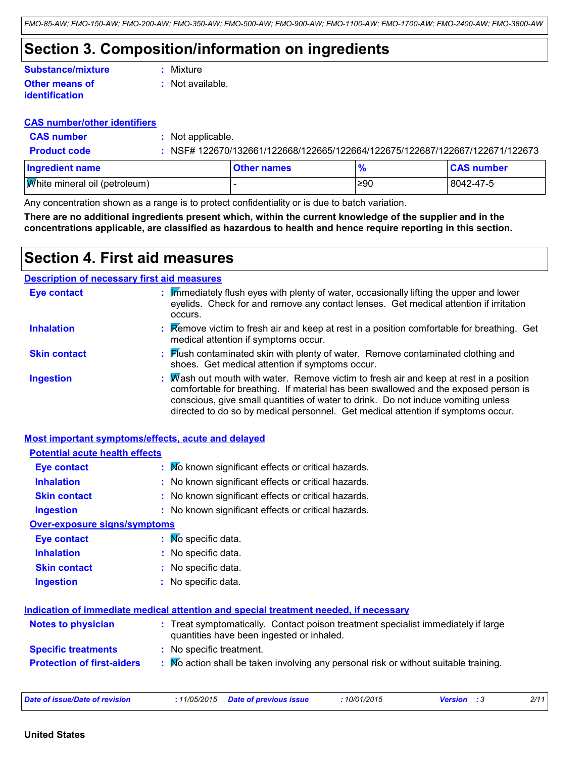### **Section 3. Composition/information on ingredients**

| Substance/mixture     | : Mixture          |
|-----------------------|--------------------|
| <b>Other means of</b> | $:$ Not available. |
| <b>identification</b> |                    |

#### **CAS number/other identifiers**

| <b>CAS number</b>                    | : Not applicable. |                    |               |                                                                              |
|--------------------------------------|-------------------|--------------------|---------------|------------------------------------------------------------------------------|
| <b>Product code</b>                  |                   |                    |               | : NSF# 122670/132661/122668/122665/122664/122675/122687/122667/122671/122673 |
| <b>Ingredient name</b>               |                   | <b>Other names</b> | $\frac{9}{6}$ | <b>CAS number</b>                                                            |
| <b>White mineral oil (petroleum)</b> |                   |                    | ≥90           | 8042-47-5                                                                    |

Any concentration shown as a range is to protect confidentiality or is due to batch variation.

**There are no additional ingredients present which, within the current knowledge of the supplier and in the concentrations applicable, are classified as hazardous to health and hence require reporting in this section.**

### **Section 4. First aid measures**

### **Description of necessary first aid measures**

| <b>Eye contact</b>  | : Immediately flush eyes with plenty of water, occasionally lifting the upper and lower<br>eyelids. Check for and remove any contact lenses. Get medical attention if irritation<br>occurs.                                                                                                                                                                       |
|---------------------|-------------------------------------------------------------------------------------------------------------------------------------------------------------------------------------------------------------------------------------------------------------------------------------------------------------------------------------------------------------------|
| <b>Inhalation</b>   | : Remove victim to fresh air and keep at rest in a position comfortable for breathing. Get<br>medical attention if symptoms occur.                                                                                                                                                                                                                                |
| <b>Skin contact</b> | : Flush contaminated skin with plenty of water. Remove contaminated clothing and<br>shoes. Get medical attention if symptoms occur.                                                                                                                                                                                                                               |
| <b>Ingestion</b>    | : $\mathbb W$ ash out mouth with water. Remove victim to fresh air and keep at rest in a position<br>comfortable for breathing. If material has been swallowed and the exposed person is<br>conscious, give small quantities of water to drink. Do not induce vomiting unless<br>directed to do so by medical personnel. Get medical attention if symptoms occur. |

| <b>Most important symptoms/effects, acute and delayed</b> |                                                                                                                                |
|-----------------------------------------------------------|--------------------------------------------------------------------------------------------------------------------------------|
| <b>Potential acute health effects</b>                     |                                                                                                                                |
| <b>Eye contact</b>                                        | : Mo known significant effects or critical hazards.                                                                            |
| <b>Inhalation</b>                                         | : No known significant effects or critical hazards.                                                                            |
| <b>Skin contact</b>                                       | : No known significant effects or critical hazards.                                                                            |
| <b>Ingestion</b>                                          | : No known significant effects or critical hazards.                                                                            |
| <b>Over-exposure signs/symptoms</b>                       |                                                                                                                                |
| <b>Eye contact</b>                                        | $\mathbf{N}$ Mo specific data.                                                                                                 |
| <b>Inhalation</b>                                         | : No specific data.                                                                                                            |
| <b>Skin contact</b>                                       | : No specific data.                                                                                                            |
| <b>Ingestion</b>                                          | : No specific data.                                                                                                            |
|                                                           | Indication of immediate medical attention and special treatment needed, if necessary                                           |
| <b>Notes to physician</b>                                 | : Treat symptomatically. Contact poison treatment specialist immediately if large<br>quantities have been ingested or inhaled. |
| <b>Specific treatments</b>                                | : No specific treatment.                                                                                                       |
| <b>Protection of first-aiders</b>                         | : Mo action shall be taken involving any personal risk or without suitable training.                                           |
|                                                           |                                                                                                                                |

| 11/05/2015<br>Date of issue/Date of revision<br>Date of previous issue<br>. | 10/01/2015 | <b>Versior</b> | 2/11 |
|-----------------------------------------------------------------------------|------------|----------------|------|
|-----------------------------------------------------------------------------|------------|----------------|------|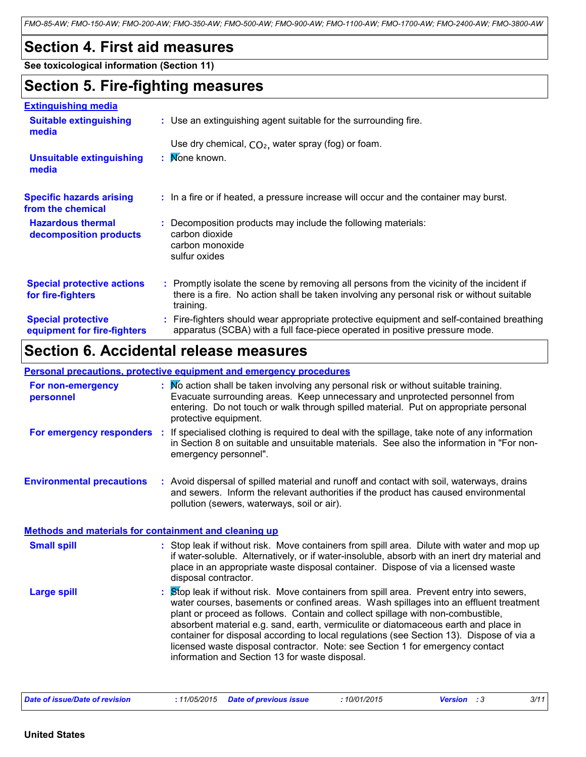*FMO-85-AW; FMO-150-AW; FMO-200-AW; FMO-350-AW; FMO-500-AW; FMO-900-AW; FMO-1100-AW; FMO-1700-AW; FMO-2400-AW; FMO-3800-AW*

### **Section 4. First aid measures**

**See toxicological information (Section 11)**

### **Section 5. Fire-fighting measures**

#### **Extinguishing media**

| <u> Launquishing muud</u>                                |                                                                                                                                                                                                     |
|----------------------------------------------------------|-----------------------------------------------------------------------------------------------------------------------------------------------------------------------------------------------------|
| <b>Suitable extinguishing</b><br>media                   | : Use an extinguishing agent suitable for the surrounding fire.                                                                                                                                     |
|                                                          | Use dry chemical, $CO2$ , water spray (fog) or foam.                                                                                                                                                |
| <b>Unsuitable extinguishing</b><br>media                 | : Mone known.                                                                                                                                                                                       |
| <b>Specific hazards arising</b><br>from the chemical     | : In a fire or if heated, a pressure increase will occur and the container may burst.                                                                                                               |
| <b>Hazardous thermal</b><br>decomposition products       | : Decomposition products may include the following materials:<br>carbon dioxide<br>carbon monoxide<br>sulfur oxides                                                                                 |
| <b>Special protective actions</b><br>for fire-fighters   | : Promptly isolate the scene by removing all persons from the vicinity of the incident if<br>there is a fire. No action shall be taken involving any personal risk or without suitable<br>training. |
| <b>Special protective</b><br>equipment for fire-fighters | : Fire-fighters should wear appropriate protective equipment and self-contained breathing<br>apparatus (SCBA) with a full face-piece operated in positive pressure mode.                            |

### **Section 6. Accidental release measures**

#### **Personal precautions, protective equipment and emergency procedures**

| For non-emergency<br>personnel                               | : Mo action shall be taken involving any personal risk or without suitable training.<br>Evacuate surrounding areas. Keep unnecessary and unprotected personnel from<br>entering. Do not touch or walk through spilled material. Put on appropriate personal<br>protective equipment.                                                                                                                                                                                                                                                                                                       |
|--------------------------------------------------------------|--------------------------------------------------------------------------------------------------------------------------------------------------------------------------------------------------------------------------------------------------------------------------------------------------------------------------------------------------------------------------------------------------------------------------------------------------------------------------------------------------------------------------------------------------------------------------------------------|
| For emergency responders                                     | : If specialised clothing is required to deal with the spillage, take note of any information<br>in Section 8 on suitable and unsuitable materials. See also the information in "For non-<br>emergency personnel".                                                                                                                                                                                                                                                                                                                                                                         |
| <b>Environmental precautions</b>                             | : Avoid dispersal of spilled material and runoff and contact with soil, waterways, drains<br>and sewers. Inform the relevant authorities if the product has caused environmental<br>pollution (sewers, waterways, soil or air).                                                                                                                                                                                                                                                                                                                                                            |
| <b>Methods and materials for containment and cleaning up</b> |                                                                                                                                                                                                                                                                                                                                                                                                                                                                                                                                                                                            |
| <b>Small spill</b>                                           | : Stop leak if without risk. Move containers from spill area. Dilute with water and mop up<br>if water-soluble. Alternatively, or if water-insoluble, absorb with an inert dry material and<br>place in an appropriate waste disposal container. Dispose of via a licensed waste<br>disposal contractor.                                                                                                                                                                                                                                                                                   |
| <b>Large spill</b>                                           | : Stop leak if without risk. Move containers from spill area. Prevent entry into sewers,<br>water courses, basements or confined areas. Wash spillages into an effluent treatment<br>plant or proceed as follows. Contain and collect spillage with non-combustible,<br>absorbent material e.g. sand, earth, vermiculite or diatomaceous earth and place in<br>container for disposal according to local regulations (see Section 13). Dispose of via a<br>licensed waste disposal contractor. Note: see Section 1 for emergency contact<br>information and Section 13 for waste disposal. |

| Date of issue/Date of revision | 11/05/2015 | <b>Date of previous issue</b> | 10/01/2015 | Version | 3/11 |
|--------------------------------|------------|-------------------------------|------------|---------|------|
|--------------------------------|------------|-------------------------------|------------|---------|------|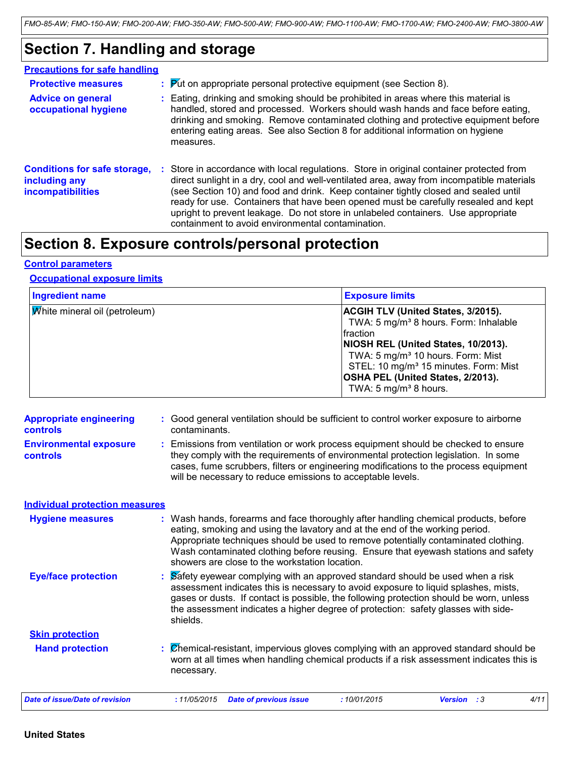### **Section 7. Handling and storage**

| <b>Precautions for safe handling</b>                                             |                                                                                                                                                                                                                                                                                                                                                                                                                                                                                                             |
|----------------------------------------------------------------------------------|-------------------------------------------------------------------------------------------------------------------------------------------------------------------------------------------------------------------------------------------------------------------------------------------------------------------------------------------------------------------------------------------------------------------------------------------------------------------------------------------------------------|
| <b>Protective measures</b>                                                       | $\therefore$ Put on appropriate personal protective equipment (see Section 8).                                                                                                                                                                                                                                                                                                                                                                                                                              |
| <b>Advice on general</b><br>occupational hygiene                                 | : Eating, drinking and smoking should be prohibited in areas where this material is<br>handled, stored and processed. Workers should wash hands and face before eating,<br>drinking and smoking. Remove contaminated clothing and protective equipment before<br>entering eating areas. See also Section 8 for additional information on hygiene<br>measures.                                                                                                                                               |
| <b>Conditions for safe storage,</b><br>including any<br><b>incompatibilities</b> | Store in accordance with local regulations. Store in original container protected from<br>direct sunlight in a dry, cool and well-ventilated area, away from incompatible materials<br>(see Section 10) and food and drink. Keep container tightly closed and sealed until<br>ready for use. Containers that have been opened must be carefully resealed and kept<br>upright to prevent leakage. Do not store in unlabeled containers. Use appropriate<br>containment to avoid environmental contamination. |

### **Section 8. Exposure controls/personal protection**

#### **Control parameters**

#### **Occupational exposure limits**

| <b>Ingredient name</b>               | <b>Exposure limits</b>                                                                                                                                                                                                                                                                                                  |
|--------------------------------------|-------------------------------------------------------------------------------------------------------------------------------------------------------------------------------------------------------------------------------------------------------------------------------------------------------------------------|
| <b>White mineral oil (petroleum)</b> | <b>ACGIH TLV (United States, 3/2015).</b><br>TWA: 5 mg/m <sup>3</sup> 8 hours. Form: Inhalable<br>fraction<br>NIOSH REL (United States, 10/2013).<br>TWA: 5 mg/m <sup>3</sup> 10 hours. Form: Mist<br>STEL: 10 mg/m <sup>3</sup> 15 minutes. Form: Mist<br>OSHA PEL (United States, 2/2013).<br>TWA: 5 $mg/m3$ 8 hours. |

| <b>Appropriate engineering</b><br><b>controls</b> | : Good general ventilation should be sufficient to control worker exposure to airborne<br>contaminants.                                                                                                                                                                                                                                                                                           |
|---------------------------------------------------|---------------------------------------------------------------------------------------------------------------------------------------------------------------------------------------------------------------------------------------------------------------------------------------------------------------------------------------------------------------------------------------------------|
| <b>Environmental exposure</b><br><b>controls</b>  | : Emissions from ventilation or work process equipment should be checked to ensure<br>they comply with the requirements of environmental protection legislation. In some<br>cases, fume scrubbers, filters or engineering modifications to the process equipment<br>will be necessary to reduce emissions to acceptable levels.                                                                   |
| <b>Individual protection measures</b>             |                                                                                                                                                                                                                                                                                                                                                                                                   |
| <b>Hygiene measures</b>                           | : Wash hands, forearms and face thoroughly after handling chemical products, before<br>eating, smoking and using the lavatory and at the end of the working period.<br>Appropriate techniques should be used to remove potentially contaminated clothing.<br>Wash contaminated clothing before reusing. Ensure that eyewash stations and safety<br>showers are close to the workstation location. |
| <b>Eye/face protection</b>                        | : Safety eyewear complying with an approved standard should be used when a risk<br>assessment indicates this is necessary to avoid exposure to liquid splashes, mists,<br>gases or dusts. If contact is possible, the following protection should be worn, unless<br>the assessment indicates a higher degree of protection: safety glasses with side-<br>shields.                                |
| <b>Skin protection</b>                            |                                                                                                                                                                                                                                                                                                                                                                                                   |
| <b>Hand protection</b>                            | : Chemical-resistant, impervious gloves complying with an approved standard should be<br>worn at all times when handling chemical products if a risk assessment indicates this is<br>necessary.                                                                                                                                                                                                   |
| <b>Date of issue/Date of revision</b>             | 4/11<br>:11/05/2015<br><b>Date of previous issue</b><br>:10/01/2015<br><b>Version</b> : 3                                                                                                                                                                                                                                                                                                         |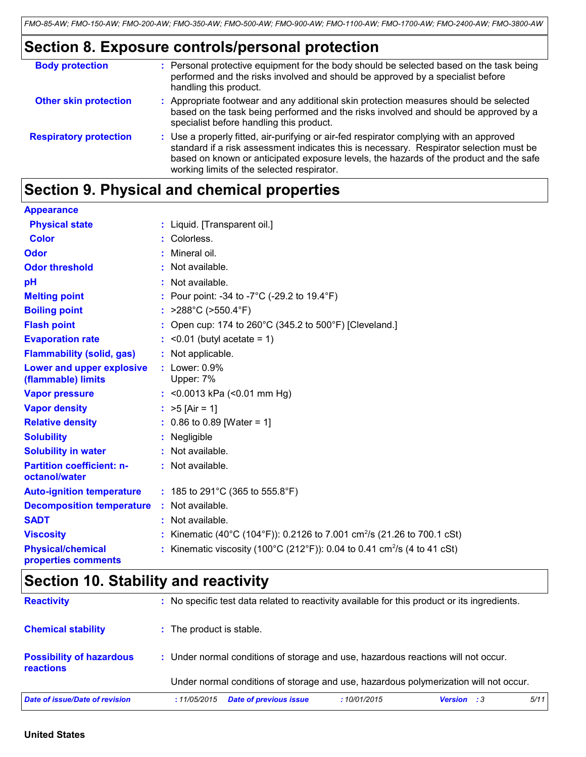### **Section 8. Exposure controls/personal protection**

| <b>Body protection</b>        | : Personal protective equipment for the body should be selected based on the task being<br>performed and the risks involved and should be approved by a specialist before<br>handling this product.                                                                                                                        |
|-------------------------------|----------------------------------------------------------------------------------------------------------------------------------------------------------------------------------------------------------------------------------------------------------------------------------------------------------------------------|
| <b>Other skin protection</b>  | : Appropriate footwear and any additional skin protection measures should be selected<br>based on the task being performed and the risks involved and should be approved by a<br>specialist before handling this product.                                                                                                  |
| <b>Respiratory protection</b> | : Use a properly fitted, air-purifying or air-fed respirator complying with an approved<br>standard if a risk assessment indicates this is necessary. Respirator selection must be<br>based on known or anticipated exposure levels, the hazards of the product and the safe<br>working limits of the selected respirator. |

### **Section 9. Physical and chemical properties**

| <b>Appearance</b>                                 |                                                                                      |
|---------------------------------------------------|--------------------------------------------------------------------------------------|
| <b>Physical state</b>                             | : Liquid. [Transparent oil.]                                                         |
| <b>Color</b>                                      | : Colorless.                                                                         |
| <b>Odor</b>                                       | : Mineral oil.                                                                       |
| <b>Odor threshold</b>                             | $:$ Not available.                                                                   |
| pH                                                | : Not available.                                                                     |
| <b>Melting point</b>                              | : Pour point: -34 to -7 $^{\circ}$ C (-29.2 to 19.4 $^{\circ}$ F)                    |
| <b>Boiling point</b>                              | : $>288^{\circ}$ C ( $>550.4^{\circ}$ F)                                             |
| <b>Flash point</b>                                | : Open cup: 174 to 260 $^{\circ}$ C (345.2 to 500 $^{\circ}$ F) [Cleveland.]         |
| <b>Evaporation rate</b>                           | $:$ <0.01 (butyl acetate = 1)                                                        |
| <b>Flammability (solid, gas)</b>                  | : Not applicable.                                                                    |
| Lower and upper explosive<br>(flammable) limits   | $:$ Lower: $0.9\%$<br>Upper: 7%                                                      |
| <b>Vapor pressure</b>                             | : < $0.0013$ kPa (< $0.01$ mm Hg)                                                    |
| <b>Vapor density</b>                              | : $>5$ [Air = 1]                                                                     |
| <b>Relative density</b>                           | $: 0.86$ to 0.89 [Water = 1]                                                         |
| <b>Solubility</b>                                 | : Negligible                                                                         |
| <b>Solubility in water</b>                        | : Not available.                                                                     |
| <b>Partition coefficient: n-</b><br>octanol/water | : Not available.                                                                     |
| <b>Auto-ignition temperature</b>                  | : 185 to 291°C (365 to 555.8°F)                                                      |
| <b>Decomposition temperature</b>                  | : Not available.                                                                     |
| <b>SADT</b>                                       | : Not available.                                                                     |
| <b>Viscosity</b>                                  | : Kinematic (40°C (104°F)): 0.2126 to 7.001 cm <sup>2</sup> /s (21.26 to 700.1 cSt)  |
| <b>Physical/chemical</b><br>properties comments   | : Kinematic viscosity (100°C (212°F)): 0.04 to 0.41 cm <sup>2</sup> /s (4 to 41 cSt) |

### **Section 10. Stability and reactivity**

| <b>Reactivity</b>                            | : No specific test data related to reactivity available for this product or its ingredients. |
|----------------------------------------------|----------------------------------------------------------------------------------------------|
| <b>Chemical stability</b>                    | : The product is stable.                                                                     |
| <b>Possibility of hazardous</b><br>reactions | : Under normal conditions of storage and use, hazardous reactions will not occur.            |
|                                              | Under normal conditions of storage and use, hazardous polymerization will not occur.         |
| Date of issue/Date of revision               | 5/11<br><b>Date of previous issue</b><br><b>Version</b> : 3<br>:11/05/2015<br>:10/01/2015    |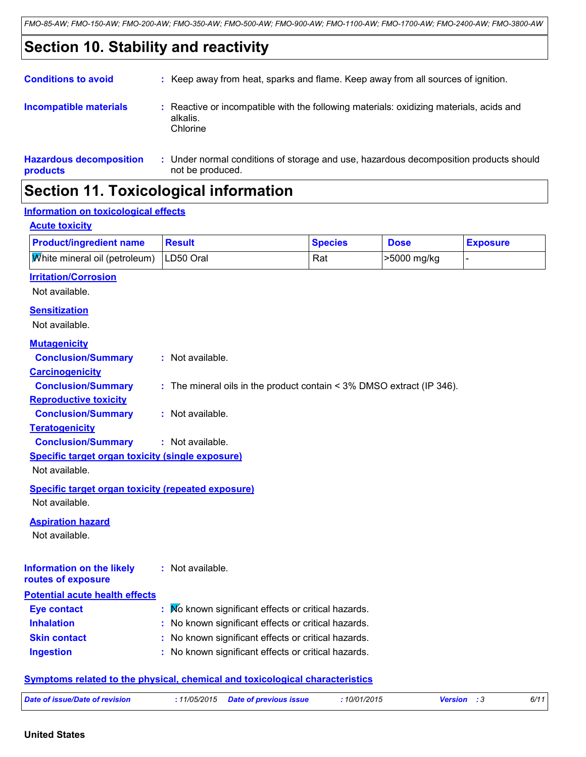### **Section 10. Stability and reactivity**

| <b>Section 11. Toxicological information</b>                                                                                                            |                                                                                                               |  |  |
|---------------------------------------------------------------------------------------------------------------------------------------------------------|---------------------------------------------------------------------------------------------------------------|--|--|
| <b>Hazardous decomposition</b><br>: Under normal conditions of storage and use, hazardous decomposition products should<br>not be produced.<br>products |                                                                                                               |  |  |
| <b>Incompatible materials</b>                                                                                                                           | Reactive or incompatible with the following materials: oxidizing materials, acids and<br>alkalis.<br>Chlorine |  |  |
| <b>Conditions to avoid</b>                                                                                                                              | : Keep away from heat, sparks and flame. Keep away from all sources of ignition.                              |  |  |

### **Information on toxicological effects**

#### **Acute toxicity**

| <b>Product/ingredient name</b>                           | Result | <b>Species</b> | <b>Dose</b> | <b>Exposure</b> |
|----------------------------------------------------------|--------|----------------|-------------|-----------------|
| $ \overline{W}$ hite mineral oil (petroleum)   LD50 Oral |        | Rat            | >5000 mg/kg |                 |

#### **Irritation/Corrosion**

Not available.

#### **Sensitization**

Not available.

#### **Mutagenicity**

| <u>ыишаусный</u>                                          |                                                                            |
|-----------------------------------------------------------|----------------------------------------------------------------------------|
| <b>Conclusion/Summary</b>                                 | : Not available.                                                           |
| <b>Carcinogenicity</b>                                    |                                                                            |
| <b>Conclusion/Summary</b>                                 | : The mineral oils in the product contain $\leq$ 3% DMSO extract (IP 346). |
| <b>Reproductive toxicity</b>                              |                                                                            |
| <b>Conclusion/Summary</b>                                 | : Not available.                                                           |
| <b>Teratogenicity</b>                                     |                                                                            |
| <b>Conclusion/Summary</b>                                 | $:$ Not available.                                                         |
| <b>Specific target organ toxicity (single exposure)</b>   |                                                                            |
| Not available.                                            |                                                                            |
| <b>Specific target organ toxicity (repeated exposure)</b> |                                                                            |
| Not available.                                            |                                                                            |
| <b>Aspiration hazard</b>                                  |                                                                            |
| Not available.                                            |                                                                            |
|                                                           |                                                                            |
|                                                           |                                                                            |
| Information on the likely                                 | $\therefore$ Not available.                                                |
| routes of exposure                                        |                                                                            |
| <b>Potential acute health effects</b>                     |                                                                            |
| <b>Eye contact</b>                                        | : Mo known significant effects or critical hazards.                        |
| <b>Inhalation</b>                                         | No known significant effects or critical hazards.                          |
| <b>Skin contact</b>                                       | No known significant effects or critical hazards.                          |
| <b>Ingestion</b>                                          | No known significant effects or critical hazards.                          |
|                                                           |                                                                            |

#### **Symptoms related to the physical, chemical and toxicological characteristics**

|  | Date of issue/Date of revision |  |  | 10/01/2015 | <b>Version</b> | 6/11 |
|--|--------------------------------|--|--|------------|----------------|------|
|--|--------------------------------|--|--|------------|----------------|------|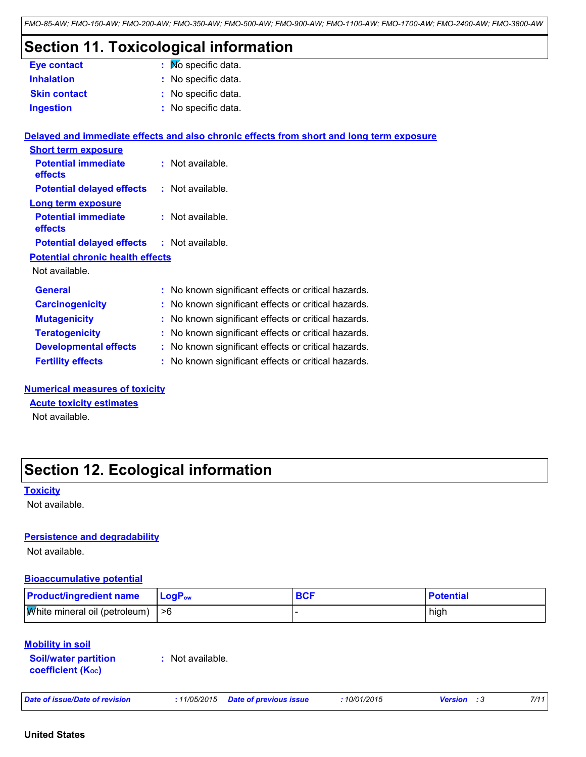#### *FMO-85-AW; FMO-150-AW; FMO-200-AW; FMO-350-AW; FMO-500-AW; FMO-900-AW; FMO-1100-AW; FMO-1700-AW; FMO-2400-AW; FMO-3800-AW*

### **Section 11. Toxicological information**

| <b>Eye contact</b>  | $\mathbf{N}$ Mo specific data. |
|---------------------|--------------------------------|
| <b>Inhalation</b>   | : No specific data.            |
| <b>Skin contact</b> | : No specific data.            |
| <b>Ingestion</b>    | : No specific data.            |

#### **Delayed and immediate effects and also chronic effects from short and long term exposure**

| <b>Short term exposure</b>              |                    |
|-----------------------------------------|--------------------|
| <b>Potential immediate</b><br>effects   | : Not available.   |
| <b>Potential delayed effects</b>        | $:$ Not available. |
| Long term exposure                      |                    |
| <b>Potential immediate</b><br>effects   | $:$ Not available. |
| <b>Potential delayed effects</b>        | : Not available.   |
| <b>Potential chronic health effects</b> |                    |
| Not available.                          |                    |

| <b>General</b>               | : No known significant effects or critical hazards. |
|------------------------------|-----------------------------------------------------|
| <b>Carcinogenicity</b>       | : No known significant effects or critical hazards. |
| <b>Mutagenicity</b>          | : No known significant effects or critical hazards. |
| <b>Teratogenicity</b>        | : No known significant effects or critical hazards. |
| <b>Developmental effects</b> | : No known significant effects or critical hazards. |
| <b>Fertility effects</b>     | : No known significant effects or critical hazards. |

#### **Numerical measures of toxicity**

#### **Acute toxicity estimates**

Not available.

### **Section 12. Ecological information**

#### **Toxicity**

Not available.

#### **Persistence and degradability**

Not available.

#### **Bioaccumulative potential**

| <b>Product/ingredient name</b>                   | <b>LogP</b> <sub>ow</sub> | <b>BCF</b> | <b>Potential</b> |
|--------------------------------------------------|---------------------------|------------|------------------|
| $ \mathbf{W}$ hite mineral oil (petroleum)   > 6 |                           |            | high             |

#### **Mobility in soil**

| <b>Soil/water partition</b> |  |
|-----------------------------|--|
| <b>coefficient (Koc)</b>    |  |

**:** Not available.

*Date of issue/Date of revision* **:** *11/05/2015 Date of previous issue : 10/01/2015 Version : 3 7/11*

#### **United States**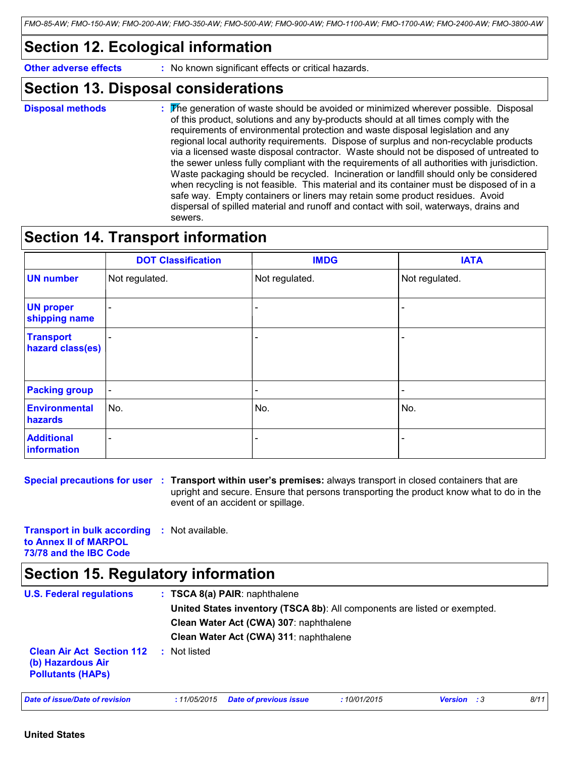### **Section 12. Ecological information**

**Other adverse effects** : No known significant effects or critical hazards.

### **Section 13. Disposal considerations**

The generation of waste should be avoided or minimized wherever possible. Disposal of this product, solutions and any by-products should at all times comply with the requirements of environmental protection and waste disposal legislation and any regional local authority requirements. Dispose of surplus and non-recyclable products via a licensed waste disposal contractor. Waste should not be disposed of untreated to the sewer unless fully compliant with the requirements of all authorities with jurisdiction. Waste packaging should be recycled. Incineration or landfill should only be considered when recycling is not feasible. This material and its container must be disposed of in a safe way. Empty containers or liners may retain some product residues. Avoid dispersal of spilled material and runoff and contact with soil, waterways, drains and sewers. **Disposal methods :**

### **Section 14. Transport information**

|                                      | <b>DOT Classification</b> | <b>IMDG</b>              | <b>IATA</b>              |
|--------------------------------------|---------------------------|--------------------------|--------------------------|
| <b>UN number</b>                     | Not regulated.            | Not regulated.           | Not regulated.           |
| <b>UN proper</b><br>shipping name    | $\overline{\phantom{a}}$  |                          |                          |
| <b>Transport</b><br>hazard class(es) |                           |                          |                          |
| <b>Packing group</b>                 | $\blacksquare$            | $\overline{\phantom{a}}$ | $\overline{\phantom{a}}$ |
| <b>Environmental</b><br>hazards      | No.                       | No.                      | No.                      |
| <b>Additional</b><br>information     | -                         | -                        |                          |

**Special precautions for user** : Transport within user's premises: always transport in closed containers that are upright and secure. Ensure that persons transporting the product know what to do in the event of an accident or spillage.

**Transport in bulk according :** Not available. **to Annex II of MARPOL 73/78 and the IBC Code**

### **Section 15. Regulatory information**

| <b>U.S. Federal regulations</b>                                                   | $: TSCA 8(a) PAIR:$ naphthalene                                           |
|-----------------------------------------------------------------------------------|---------------------------------------------------------------------------|
|                                                                                   | United States inventory (TSCA 8b): All components are listed or exempted. |
|                                                                                   | Clean Water Act (CWA) 307: naphthalene                                    |
|                                                                                   | Clean Water Act (CWA) 311: naphthalene                                    |
| <b>Clean Air Act Section 112</b><br>(b) Hazardous Air<br><b>Pollutants (HAPS)</b> | Not listed                                                                |

*Date of issue/Date of revision* **:** *11/05/2015 Date of previous issue : 10/01/2015 Version : 3 8/11*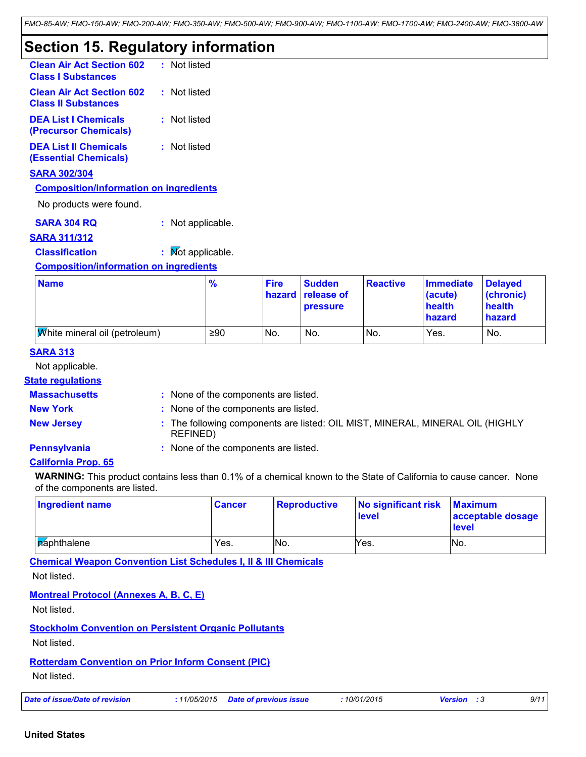### **Section 15. Regulatory information**

| <b>Clean Air Act Section 602</b><br><b>Class I Substances</b>  | : Not listed |
|----------------------------------------------------------------|--------------|
| <b>Clean Air Act Section 602</b><br><b>Class II Substances</b> | : Not listed |
| <b>DEA List I Chemicals</b><br>(Precursor Chemicals)           | : Not listed |
| <b>DEA List II Chemicals</b><br><b>(Essential Chemicals)</b>   | : Not listed |

#### **SARA 302/304**

#### **Composition/information on ingredients**

No products were found.

**SARA 304 RQ :** Not applicable.

#### **SARA 311/312**

**Classification :** Mot applicable.

#### **Composition/information on ingredients**

| <b>Name</b>                          | $\frac{9}{6}$ | <b>Fire</b> | <b>Sudden</b><br>hazard release of<br><b>pressure</b> | <b>Reactive</b> | Immediate<br>(acute)<br>health<br>hazard | <b>Delayed</b><br>(chronic)<br>health<br>hazard |
|--------------------------------------|---------------|-------------|-------------------------------------------------------|-----------------|------------------------------------------|-------------------------------------------------|
| <b>White mineral oil (petroleum)</b> | ≥90           | No.         | No.                                                   | No.             | Yes.                                     | No.                                             |

#### **SARA 313**

Not applicable.

#### **State regulations**

#### **Massachusetts :**

: None of the components are listed.

- 
- **New York :** None of the components are listed.
- 
- 
- **New Jersey :** The following components are listed: OIL MIST, MINERAL, MINERAL OIL (HIGHLY REFINED)
- 
- **Pennsylvania :** None of the components are listed.

#### **California Prop. 65**

**WARNING:** This product contains less than 0.1% of a chemical known to the State of California to cause cancer. None of the components are listed.

| <b>Ingredient name</b> | <b>Cancer</b> | <b>Reproductive</b> | No significant risk<br><b>level</b> | <b>Maximum</b><br>acceptable dosage<br><b>level</b> |
|------------------------|---------------|---------------------|-------------------------------------|-----------------------------------------------------|
| <b>A</b> aphthalene    | Yes.          | No.                 | Yes.                                | No.                                                 |

**Chemical Weapon Convention List Schedules I, II & III Chemicals**

Not listed.

#### **Montreal Protocol (Annexes A, B, C, E)**

Not listed.

#### **Stockholm Convention on Persistent Organic Pollutants**

Not listed.

#### **Rotterdam Convention on Prior Inform Consent (PIC)**

Not listed.

|  | Date of issue/Date of revision |  |
|--|--------------------------------|--|
|--|--------------------------------|--|

*Date of issue/Date of revision* **:** *11/05/2015 Date of previous issue : 10/01/2015 Version : 3 9/11*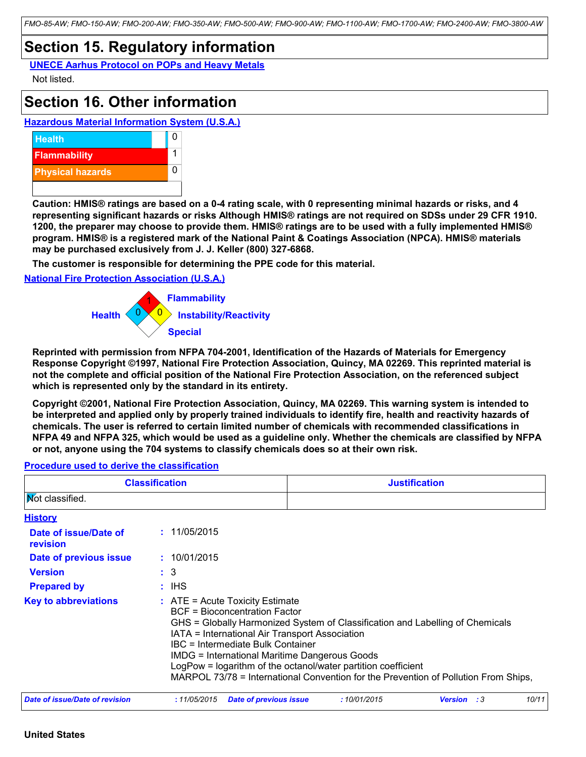*FMO-85-AW; FMO-150-AW; FMO-200-AW; FMO-350-AW; FMO-500-AW; FMO-900-AW; FMO-1100-AW; FMO-1700-AW; FMO-2400-AW; FMO-3800-AW*

### **Section 15. Regulatory information**

**UNECE Aarhus Protocol on POPs and Heavy Metals** Not listed.

### **Section 16. Other information**

**Hazardous Material Information System (U.S.A.)**



**Caution: HMIS® ratings are based on a 0-4 rating scale, with 0 representing minimal hazards or risks, and 4 representing significant hazards or risks Although HMIS® ratings are not required on SDSs under 29 CFR 1910. 1200, the preparer may choose to provide them. HMIS® ratings are to be used with a fully implemented HMIS® program. HMIS® is a registered mark of the National Paint & Coatings Association (NPCA). HMIS® materials may be purchased exclusively from J. J. Keller (800) 327-6868.**

**The customer is responsible for determining the PPE code for this material.**

#### **National Fire Protection Association (U.S.A.)**



**Reprinted with permission from NFPA 704-2001, Identification of the Hazards of Materials for Emergency Response Copyright ©1997, National Fire Protection Association, Quincy, MA 02269. This reprinted material is not the complete and official position of the National Fire Protection Association, on the referenced subject which is represented only by the standard in its entirety.**

**Copyright ©2001, National Fire Protection Association, Quincy, MA 02269. This warning system is intended to be interpreted and applied only by properly trained individuals to identify fire, health and reactivity hazards of chemicals. The user is referred to certain limited number of chemicals with recommended classifications in NFPA 49 and NFPA 325, which would be used as a guideline only. Whether the chemicals are classified by NFPA or not, anyone using the 704 systems to classify chemicals does so at their own risk.**

#### **Procedure used to derive the classification**

| <b>Classification</b>                 |                                       | <b>Justification</b>                                                                                                                                                                                                                                                                                                                                                                                                                                                       |                    |       |  |  |
|---------------------------------------|---------------------------------------|----------------------------------------------------------------------------------------------------------------------------------------------------------------------------------------------------------------------------------------------------------------------------------------------------------------------------------------------------------------------------------------------------------------------------------------------------------------------------|--------------------|-------|--|--|
| <b>Not classified.</b>                |                                       |                                                                                                                                                                                                                                                                                                                                                                                                                                                                            |                    |       |  |  |
| <u>History</u>                        |                                       |                                                                                                                                                                                                                                                                                                                                                                                                                                                                            |                    |       |  |  |
| Date of issue/Date of<br>revision     | : 11/05/2015                          |                                                                                                                                                                                                                                                                                                                                                                                                                                                                            |                    |       |  |  |
| Date of previous issue                | : 10/01/2015                          |                                                                                                                                                                                                                                                                                                                                                                                                                                                                            |                    |       |  |  |
| <b>Version</b>                        | $\colon$ 3                            |                                                                                                                                                                                                                                                                                                                                                                                                                                                                            |                    |       |  |  |
| <b>Prepared by</b>                    | $:$ IHS                               |                                                                                                                                                                                                                                                                                                                                                                                                                                                                            |                    |       |  |  |
| <b>Key to abbreviations</b>           |                                       | $\therefore$ ATE = Acute Toxicity Estimate<br><b>BCF</b> = Bioconcentration Factor<br>GHS = Globally Harmonized System of Classification and Labelling of Chemicals<br>IATA = International Air Transport Association<br>IBC = Intermediate Bulk Container<br><b>IMDG = International Maritime Dangerous Goods</b><br>LogPow = logarithm of the octanol/water partition coefficient<br>MARPOL 73/78 = International Convention for the Prevention of Pollution From Ships, |                    |       |  |  |
| <b>Date of issue/Date of revision</b> | :11/05/2015<br>Date of previous issue | : 10/01/2015                                                                                                                                                                                                                                                                                                                                                                                                                                                               | <b>Version</b> : 3 | 10/11 |  |  |